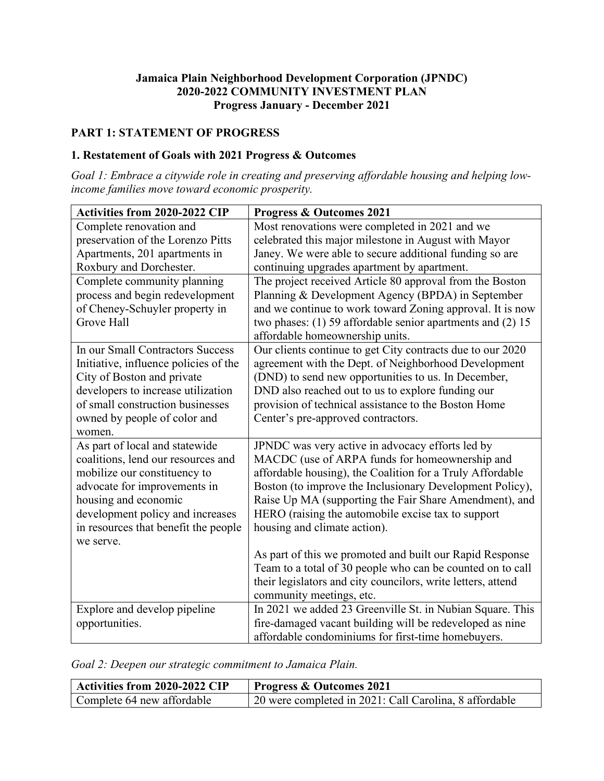#### **Jamaica Plain Neighborhood Development Corporation (JPNDC) 2020-2022 COMMUNITY INVESTMENT PLAN Progress January - December 2021**

# **PART 1: STATEMENT OF PROGRESS**

#### **1. Restatement of Goals with 2021 Progress & Outcomes**

*Goal 1: Embrace a citywide role in creating and preserving affordable housing and helping lowincome families move toward economic prosperity.*

| Activities from 2020-2022 CIP         | <b>Progress &amp; Outcomes 2021</b>                            |
|---------------------------------------|----------------------------------------------------------------|
| Complete renovation and               | Most renovations were completed in 2021 and we                 |
| preservation of the Lorenzo Pitts     | celebrated this major milestone in August with Mayor           |
| Apartments, 201 apartments in         | Janey. We were able to secure additional funding so are        |
| Roxbury and Dorchester.               | continuing upgrades apartment by apartment.                    |
| Complete community planning           | The project received Article 80 approval from the Boston       |
| process and begin redevelopment       | Planning & Development Agency (BPDA) in September              |
| of Cheney-Schuyler property in        | and we continue to work toward Zoning approval. It is now      |
| <b>Grove Hall</b>                     | two phases: $(1)$ 59 affordable senior apartments and $(2)$ 15 |
|                                       | affordable homeownership units.                                |
| In our Small Contractors Success      | Our clients continue to get City contracts due to our 2020     |
| Initiative, influence policies of the | agreement with the Dept. of Neighborhood Development           |
| City of Boston and private            | (DND) to send new opportunities to us. In December,            |
| developers to increase utilization    | DND also reached out to us to explore funding our              |
| of small construction businesses      | provision of technical assistance to the Boston Home           |
| owned by people of color and          | Center's pre-approved contractors.                             |
| women.                                |                                                                |
| As part of local and statewide        | JPNDC was very active in advocacy efforts led by               |
| coalitions, lend our resources and    | MACDC (use of ARPA funds for homeownership and                 |
| mobilize our constituency to          | affordable housing), the Coalition for a Truly Affordable      |
| advocate for improvements in          | Boston (to improve the Inclusionary Development Policy),       |
| housing and economic                  | Raise Up MA (supporting the Fair Share Amendment), and         |
| development policy and increases      | HERO (raising the automobile excise tax to support             |
| in resources that benefit the people  | housing and climate action).                                   |
| we serve.                             | As part of this we promoted and built our Rapid Response       |
|                                       | Team to a total of 30 people who can be counted on to call     |
|                                       | their legislators and city councilors, write letters, attend   |
|                                       | community meetings, etc.                                       |
| Explore and develop pipeline          | In 2021 we added 23 Greenville St. in Nubian Square. This      |
| opportunities.                        | fire-damaged vacant building will be redeveloped as nine       |
|                                       | affordable condominiums for first-time homebuyers.             |
|                                       |                                                                |

| Goal 2: Deepen our strategic commitment to Jamaica Plain. |  |  |  |  |  |
|-----------------------------------------------------------|--|--|--|--|--|
|-----------------------------------------------------------|--|--|--|--|--|

| Activities from 2020-2022 CIP | <b>Progress &amp; Outcomes 2021</b>                    |
|-------------------------------|--------------------------------------------------------|
| Complete 64 new affordable    | 20 were completed in 2021: Call Carolina, 8 affordable |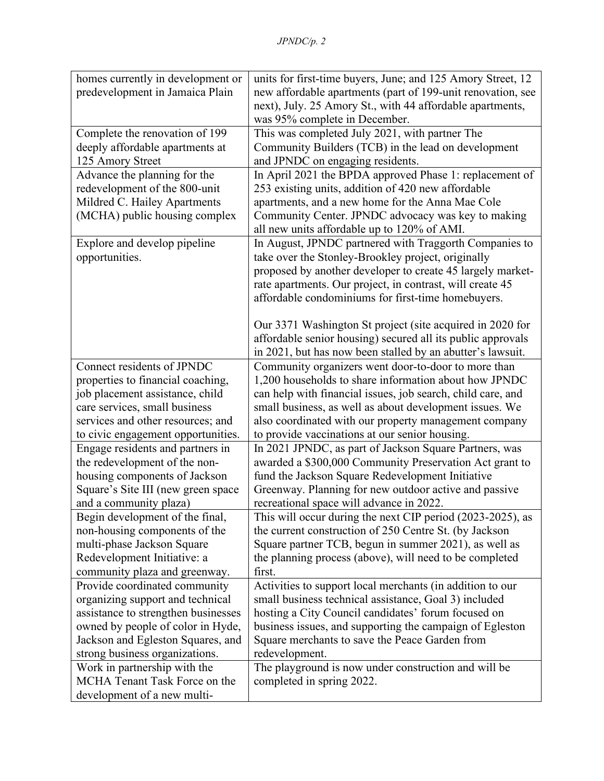| homes currently in development or   | units for first-time buyers, June; and 125 Amory Street, 12 |
|-------------------------------------|-------------------------------------------------------------|
| predevelopment in Jamaica Plain     | new affordable apartments (part of 199-unit renovation, see |
|                                     | next), July. 25 Amory St., with 44 affordable apartments,   |
|                                     | was 95% complete in December.                               |
| Complete the renovation of 199      | This was completed July 2021, with partner The              |
| deeply affordable apartments at     | Community Builders (TCB) in the lead on development         |
| 125 Amory Street                    | and JPNDC on engaging residents.                            |
| Advance the planning for the        | In April 2021 the BPDA approved Phase 1: replacement of     |
| redevelopment of the 800-unit       | 253 existing units, addition of 420 new affordable          |
| Mildred C. Hailey Apartments        | apartments, and a new home for the Anna Mae Cole            |
| (MCHA) public housing complex       | Community Center. JPNDC advocacy was key to making          |
|                                     | all new units affordable up to 120% of AMI.                 |
| Explore and develop pipeline        | In August, JPNDC partnered with Traggorth Companies to      |
| opportunities.                      | take over the Stonley-Brookley project, originally          |
|                                     | proposed by another developer to create 45 largely market-  |
|                                     | rate apartments. Our project, in contrast, will create 45   |
|                                     | affordable condominiums for first-time homebuyers.          |
|                                     |                                                             |
|                                     | Our 3371 Washington St project (site acquired in 2020 for   |
|                                     | affordable senior housing) secured all its public approvals |
|                                     | in 2021, but has now been stalled by an abutter's lawsuit.  |
| Connect residents of JPNDC          | Community organizers went door-to-door to more than         |
| properties to financial coaching,   | 1,200 households to share information about how JPNDC       |
| job placement assistance, child     | can help with financial issues, job search, child care, and |
| care services, small business       | small business, as well as about development issues. We     |
| services and other resources; and   | also coordinated with our property management company       |
| to civic engagement opportunities.  | to provide vaccinations at our senior housing.              |
| Engage residents and partners in    | In 2021 JPNDC, as part of Jackson Square Partners, was      |
| the redevelopment of the non-       | awarded a \$300,000 Community Preservation Act grant to     |
| housing components of Jackson       | fund the Jackson Square Redevelopment Initiative            |
| Square's Site III (new green space  | Greenway. Planning for new outdoor active and passive       |
| and a community plaza)              | recreational space will advance in 2022.                    |
| Begin development of the final,     | This will occur during the next CIP period (2023-2025), as  |
| non-housing components of the       | the current construction of 250 Centre St. (by Jackson      |
| multi-phase Jackson Square          | Square partner TCB, begun in summer 2021), as well as       |
| Redevelopment Initiative: a         | the planning process (above), will need to be completed     |
| community plaza and greenway.       | first.                                                      |
| Provide coordinated community       | Activities to support local merchants (in addition to our   |
| organizing support and technical    | small business technical assistance, Goal 3) included       |
| assistance to strengthen businesses | hosting a City Council candidates' forum focused on         |
| owned by people of color in Hyde,   | business issues, and supporting the campaign of Egleston    |
| Jackson and Egleston Squares, and   | Square merchants to save the Peace Garden from              |
| strong business organizations.      | redevelopment.                                              |
| Work in partnership with the        | The playground is now under construction and will be        |
| MCHA Tenant Task Force on the       | completed in spring 2022.                                   |
| development of a new multi-         |                                                             |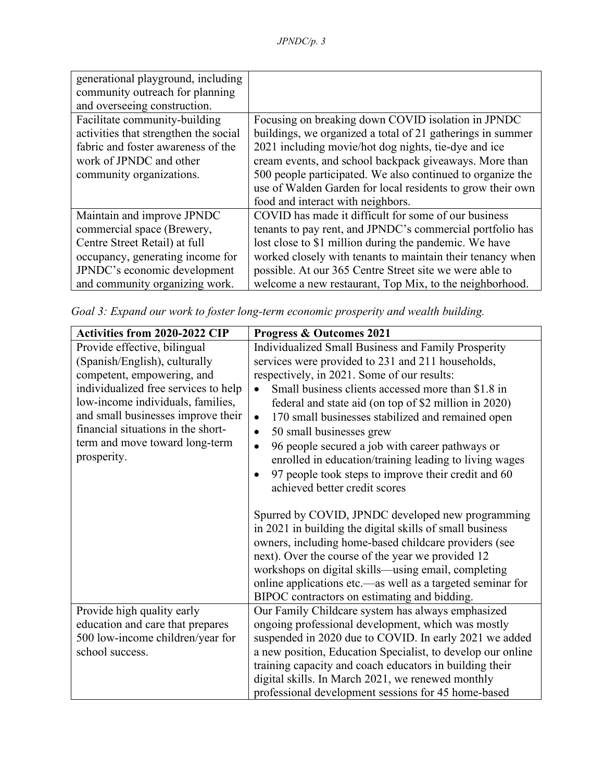| generational playground, including    |                                                            |
|---------------------------------------|------------------------------------------------------------|
| community outreach for planning       |                                                            |
| and overseeing construction.          |                                                            |
| Facilitate community-building         | Focusing on breaking down COVID isolation in JPNDC         |
| activities that strengthen the social | buildings, we organized a total of 21 gatherings in summer |
| fabric and foster awareness of the    | 2021 including movie/hot dog nights, tie-dye and ice       |
| work of JPNDC and other               | cream events, and school backpack giveaways. More than     |
| community organizations.              | 500 people participated. We also continued to organize the |
|                                       | use of Walden Garden for local residents to grow their own |
|                                       | food and interact with neighbors.                          |
| Maintain and improve JPNDC            | COVID has made it difficult for some of our business       |
| commercial space (Brewery,            | tenants to pay rent, and JPNDC's commercial portfolio has  |
| Centre Street Retail) at full         | lost close to \$1 million during the pandemic. We have     |
| occupancy, generating income for      | worked closely with tenants to maintain their tenancy when |
| JPNDC's economic development          | possible. At our 365 Centre Street site we were able to    |
| and community organizing work.        | welcome a new restaurant, Top Mix, to the neighborhood.    |

*Goal 3: Expand our work to foster long-term economic prosperity and wealth building.*

| Activities from 2020-2022 CIP        | <b>Progress &amp; Outcomes 2021</b>                             |  |  |
|--------------------------------------|-----------------------------------------------------------------|--|--|
| Provide effective, bilingual         | Individualized Small Business and Family Prosperity             |  |  |
| (Spanish/English), culturally        | services were provided to 231 and 211 households,               |  |  |
| competent, empowering, and           | respectively, in 2021. Some of our results:                     |  |  |
| individualized free services to help | Small business clients accessed more than \$1.8 in<br>$\bullet$ |  |  |
| low-income individuals, families,    | federal and state aid (on top of \$2 million in 2020)           |  |  |
| and small businesses improve their   | 170 small businesses stabilized and remained open<br>$\bullet$  |  |  |
| financial situations in the short-   | 50 small businesses grew<br>$\bullet$                           |  |  |
| term and move toward long-term       | 96 people secured a job with career pathways or<br>$\bullet$    |  |  |
| prosperity.                          | enrolled in education/training leading to living wages          |  |  |
|                                      | 97 people took steps to improve their credit and 60<br>٠        |  |  |
|                                      | achieved better credit scores                                   |  |  |
|                                      |                                                                 |  |  |
|                                      | Spurred by COVID, JPNDC developed new programming               |  |  |
|                                      | in 2021 in building the digital skills of small business        |  |  |
|                                      | owners, including home-based childcare providers (see           |  |  |
|                                      | next). Over the course of the year we provided 12               |  |  |
|                                      | workshops on digital skills—using email, completing             |  |  |
|                                      | online applications etc.—as well as a targeted seminar for      |  |  |
|                                      | BIPOC contractors on estimating and bidding.                    |  |  |
| Provide high quality early           | Our Family Childcare system has always emphasized               |  |  |
| education and care that prepares     | ongoing professional development, which was mostly              |  |  |
| 500 low-income children/year for     | suspended in 2020 due to COVID. In early 2021 we added          |  |  |
| school success.                      | a new position, Education Specialist, to develop our online     |  |  |
|                                      | training capacity and coach educators in building their         |  |  |
|                                      | digital skills. In March 2021, we renewed monthly               |  |  |
|                                      | professional development sessions for 45 home-based             |  |  |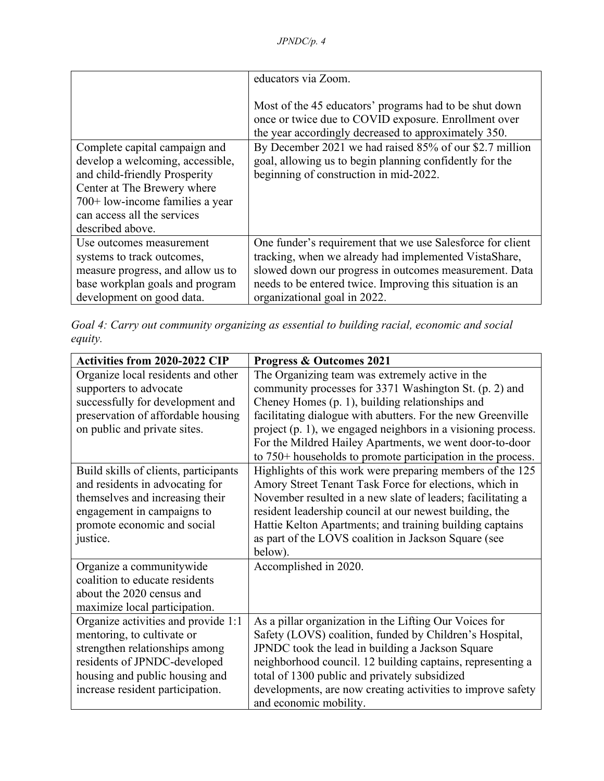|                                   | educators via Zoom.                                                                                                                                                    |
|-----------------------------------|------------------------------------------------------------------------------------------------------------------------------------------------------------------------|
|                                   | Most of the 45 educators' programs had to be shut down<br>once or twice due to COVID exposure. Enrollment over<br>the year accordingly decreased to approximately 350. |
| Complete capital campaign and     | By December 2021 we had raised 85% of our \$2.7 million                                                                                                                |
| develop a welcoming, accessible,  | goal, allowing us to begin planning confidently for the                                                                                                                |
| and child-friendly Prosperity     | beginning of construction in mid-2022.                                                                                                                                 |
| Center at The Brewery where       |                                                                                                                                                                        |
| $700+$ low-income families a year |                                                                                                                                                                        |
| can access all the services       |                                                                                                                                                                        |
| described above.                  |                                                                                                                                                                        |
| Use outcomes measurement          | One funder's requirement that we use Salesforce for client                                                                                                             |
| systems to track outcomes,        | tracking, when we already had implemented VistaShare,                                                                                                                  |
| measure progress, and allow us to | slowed down our progress in outcomes measurement. Data                                                                                                                 |
| base workplan goals and program   | needs to be entered twice. Improving this situation is an                                                                                                              |
| development on good data.         | organizational goal in 2022.                                                                                                                                           |

*Goal 4: Carry out community organizing as essential to building racial, economic and social equity.*

| <b>Activities from 2020-2022 CIP</b>  | <b>Progress &amp; Outcomes 2021</b>                           |
|---------------------------------------|---------------------------------------------------------------|
| Organize local residents and other    | The Organizing team was extremely active in the               |
| supporters to advocate                | community processes for 3371 Washington St. (p. 2) and        |
| successfully for development and      | Cheney Homes (p. 1), building relationships and               |
| preservation of affordable housing    | facilitating dialogue with abutters. For the new Greenville   |
| on public and private sites.          | project (p. 1), we engaged neighbors in a visioning process.  |
|                                       | For the Mildred Hailey Apartments, we went door-to-door       |
|                                       | to $750+$ households to promote participation in the process. |
| Build skills of clients, participants | Highlights of this work were preparing members of the 125     |
| and residents in advocating for       | Amory Street Tenant Task Force for elections, which in        |
| themselves and increasing their       | November resulted in a new slate of leaders; facilitating a   |
| engagement in campaigns to            | resident leadership council at our newest building, the       |
| promote economic and social           | Hattie Kelton Apartments; and training building captains      |
| justice.                              | as part of the LOVS coalition in Jackson Square (see          |
|                                       | below).                                                       |
| Organize a communitywide              | Accomplished in 2020.                                         |
| coalition to educate residents        |                                                               |
| about the 2020 census and             |                                                               |
| maximize local participation.         |                                                               |
| Organize activities and provide 1:1   | As a pillar organization in the Lifting Our Voices for        |
| mentoring, to cultivate or            | Safety (LOVS) coalition, funded by Children's Hospital,       |
| strengthen relationships among        | JPNDC took the lead in building a Jackson Square              |
| residents of JPNDC-developed          | neighborhood council. 12 building captains, representing a    |
| housing and public housing and        | total of 1300 public and privately subsidized                 |
| increase resident participation.      | developments, are now creating activities to improve safety   |
|                                       | and economic mobility.                                        |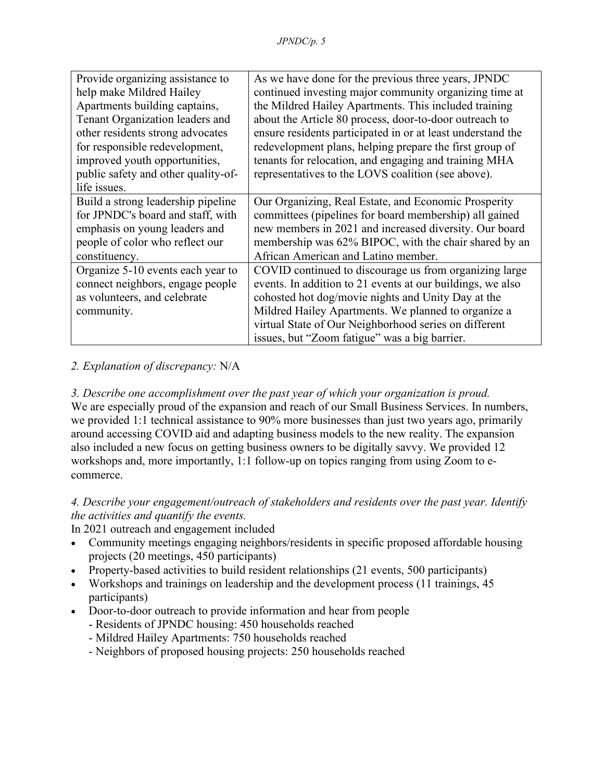| Provide organizing assistance to    | As we have done for the previous three years, JPNDC         |
|-------------------------------------|-------------------------------------------------------------|
| help make Mildred Hailey            | continued investing major community organizing time at      |
| Apartments building captains,       | the Mildred Hailey Apartments. This included training       |
| Tenant Organization leaders and     | about the Article 80 process, door-to-door outreach to      |
| other residents strong advocates    | ensure residents participated in or at least understand the |
| for responsible redevelopment,      | redevelopment plans, helping prepare the first group of     |
| improved youth opportunities,       | tenants for relocation, and engaging and training MHA       |
| public safety and other quality-of- | representatives to the LOVS coalition (see above).          |
| life issues.                        |                                                             |
| Build a strong leadership pipeline  | Our Organizing, Real Estate, and Economic Prosperity        |
| for JPNDC's board and staff, with   | committees (pipelines for board membership) all gained      |
| emphasis on young leaders and       | new members in 2021 and increased diversity. Our board      |
| people of color who reflect our     | membership was 62% BIPOC, with the chair shared by an       |
| constituency.                       | African American and Latino member.                         |
| Organize 5-10 events each year to   | COVID continued to discourage us from organizing large      |
| connect neighbors, engage people    | events. In addition to 21 events at our buildings, we also  |
| as volunteers, and celebrate        | cohosted hot dog/movie nights and Unity Day at the          |
| community.                          | Mildred Hailey Apartments. We planned to organize a         |
|                                     | virtual State of Our Neighborhood series on different       |
|                                     | issues, but "Zoom fatigue" was a big barrier.               |

# *2. Explanation of discrepancy:* N/A

*3. Describe one accomplishment over the past year of which your organization is proud.* We are especially proud of the expansion and reach of our Small Business Services. In numbers, we provided 1:1 technical assistance to 90% more businesses than just two years ago, primarily around accessing COVID aid and adapting business models to the new reality. The expansion also included a new focus on getting business owners to be digitally savvy. We provided 12 workshops and, more importantly, 1:1 follow-up on topics ranging from using Zoom to ecommerce.

# *4. Describe your engagement/outreach of stakeholders and residents over the past year. Identify the activities and quantify the events.*

In 2021 outreach and engagement included

- Community meetings engaging neighbors/residents in specific proposed affordable housing projects (20 meetings, 450 participants)
- Property-based activities to build resident relationships (21 events, 500 participants)
- Workshops and trainings on leadership and the development process (11 trainings, 45 participants)
- Door-to-door outreach to provide information and hear from people
	- Residents of JPNDC housing: 450 households reached
	- Mildred Hailey Apartments: 750 households reached
	- Neighbors of proposed housing projects: 250 households reached